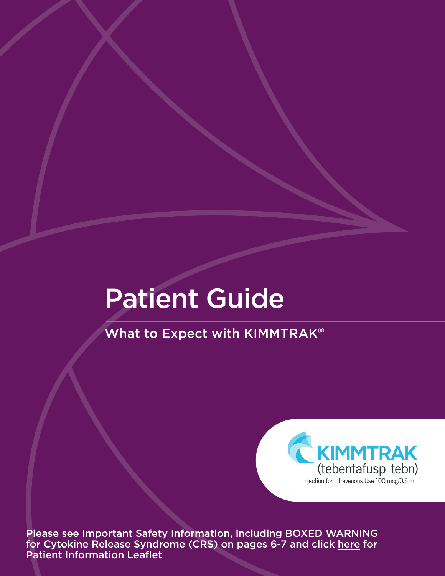# Patient Guide

What to Expect with KIMMTRAK**®**



Please see Important Safety Information, including BOXED WARNING for Cytokine Release Syndrome (CRS) on pages 6-7 and click [here](https://www.immunocore.com/download_file/311/0) for Patient Information Leaflet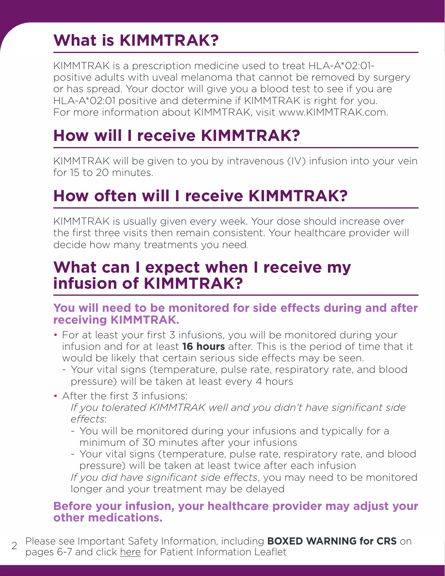# **What is KIMMTRAK?**

KIMMTRAK is a prescription medicine used to treat HLA-A\*02:01 positive adults with uveal melanoma that cannot be removed by surgery or has spread. Your doctor will give you a blood test to see if you are HLA-A\*02:01 positive and determine if KIMMTRAK is right for you. For more information about KIMMTRAK, visit www.KIMMTRAK.com.

# **How will I receive KIMMTRAK?**

KIMMTRAK will be given to you by intravenous (IV) infusion into your vein for 15 to 20 minutes.

# **How often will I receive KIMMTRAK?**

KIMMTRAK is usually given every week. Your dose should increase over the first three visits then remain consistent. Your healthcare provider will decide how many treatments you need.

### **What can I expect when I receive my infusion of KIMMTRAK?**

### **You will need to be monitored for side effects during and after receiving KIMMTRAK.**

- For at least your first 3 infusions, you will be monitored during your infusion and for at least **16 hours** after. This is the period of time that it would be likely that certain serious side effects may be seen.
	- Your vital signs (temperature, pulse rate, respiratory rate, and blood pressure) will be taken at least every 4 hours
- After the first 3 infusions:

*If you tolerated KIMMTRAK well and you didn't have significant side effects*:

- You will be monitored during your infusions and typically for a minimum of 30 minutes after your infusions
- Your vital signs (temperature, pulse rate, respiratory rate, and blood pressure) will be taken at least twice after each infusion

*If you did have significant side effects*, you may need to be monitored longer and your treatment may be delayed

### **Before your infusion, your healthcare provider may adjust your other medications.**

2 Please see Important Safety Information, including **BOXED WARNING for CRS** on pages 6-7 and click [here](https://www.immunocore.com/download_file/311/0) for Patient Information Leaflet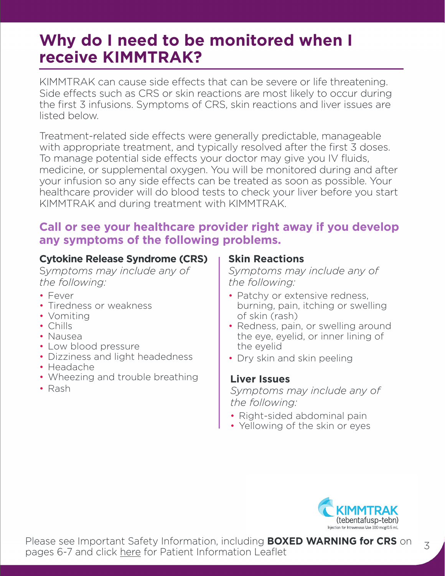### **Why do I need to be monitored when I receive KIMMTRAK?**

KIMMTRAK can cause side effects that can be severe or life threatening. Side effects such as CRS or skin reactions are most likely to occur during the first 3 infusions. Symptoms of CRS, skin reactions and liver issues are listed below.

Treatment-related side effects were generally predictable, manageable with appropriate treatment, and typically resolved after the first 3 doses. To manage potential side effects your doctor may give you IV fluids, medicine, or supplemental oxygen. You will be monitored during and after your infusion so any side effects can be treated as soon as possible. Your healthcare provider will do blood tests to check your liver before you start KIMMTRAK and during treatment with KIMMTRAK.

### **Call or see your healthcare provider right away if you develop any symptoms of the following problems.**

### **Cytokine Release Syndrome (CRS)**

S*ymptoms may include any of the following:*

- Fever
- Tiredness or weakness
- Vomiting
- Chills
- Nausea
- Low blood pressure
- Dizziness and light headedness
- Headache
- Wheezing and trouble breathing
- Rash

### **Skin Reactions**

*Symptoms may include any of the following:*

- Patchy or extensive redness, burning, pain, itching or swelling of skin (rash)
- Redness, pain, or swelling around the eye, eyelid, or inner lining of the eyelid
- Dry skin and skin peeling

### **Liver Issues**

*Symptoms may include any of the following:* 

- Right-sided abdominal pain
- Yellowing of the skin or eyes

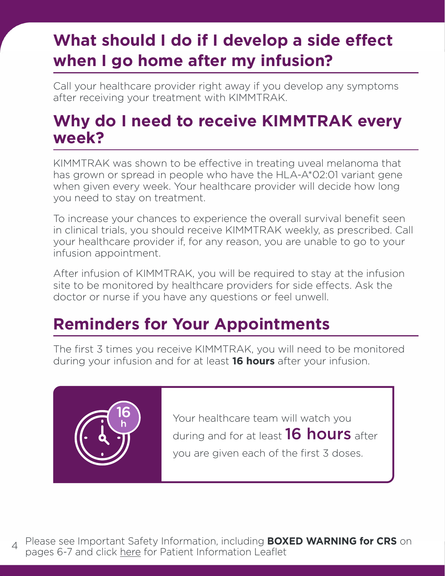# **What should I do if I develop a side effect when I go home after my infusion?**

Call your healthcare provider right away if you develop any symptoms after receiving your treatment with KIMMTRAK.

### **Why do I need to receive KIMMTRAK every week?**

KIMMTRAK was shown to be effective in treating uveal melanoma that has grown or spread in people who have the HLA-A\*02:01 variant gene when given every week. Your healthcare provider will decide how long you need to stay on treatment.

To increase your chances to experience the overall survival benefit seen in clinical trials, you should receive KIMMTRAK weekly, as prescribed. Call your healthcare provider if, for any reason, you are unable to go to your infusion appointment.

After infusion of KIMMTRAK, you will be required to stay at the infusion site to be monitored by healthcare providers for side effects. Ask the doctor or nurse if you have any questions or feel unwell.

# **Reminders for Your Appointments**

The first 3 times you receive KIMMTRAK, you will need to be monitored during your infusion and for at least **16 hours** after your infusion.



Your healthcare team will watch you during and for at least **16 hours** after you are given each of the first 3 doses.

Please see Important Safety Information, including **BOXED WARNING for CRS** on pages 6-7 and click <u>here</u> for Patient Information Leaflet  $\Delta$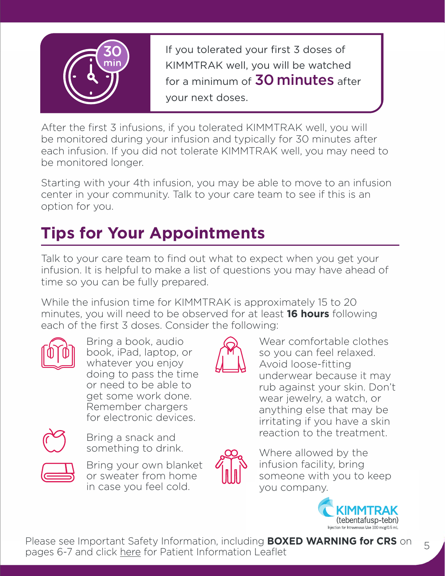

If you tolerated your first 3 doses of KIMMTRAK well, you will be watched for a minimum of **30 minutes** after your next doses.

After the first 3 infusions, if you tolerated KIMMTRAK well, you will be monitored during your infusion and typically for 30 minutes after each infusion. If you did not tolerate KIMMTRAK well, you may need to be monitored longer.

Starting with your 4th infusion, you may be able to move to an infusion center in your community. Talk to your care team to see if this is an option for you.

# **Tips for Your Appointments**

Talk to your care team to find out what to expect when you get your infusion. It is helpful to make a list of questions you may have ahead of time so you can be fully prepared.

While the infusion time for KIMMTRAK is approximately 15 to 20 minutes, you will need to be observed for at least **16 hours** following each of the first 3 doses. Consider the following:



Bring a book, audio book, iPad, laptop, or whatever you enjoy doing to pass the time or need to be able to get some work done. Remember chargers for electronic devices.



Bring a snack and something to drink.



Bring your own blanket or sweater from home in case you feel cold.



Wear comfortable clothes so you can feel relaxed. Avoid loose-fitting underwear because it may rub against your skin. Don't wear jewelry, a watch, or anything else that may be irritating if you have a skin reaction to the treatment.



Where allowed by the infusion facility, bring someone with you to keep you company.



Please see Important Safety Information, including **BOXED WARNING for CRS** on pages 6-7 and click [here](https://www.immunocore.com/download_file/311/0) for Patient Information Leaflet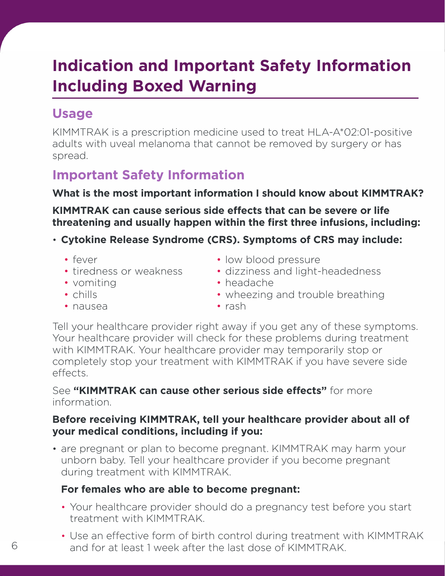# **Indication and Important Safety Information Including Boxed Warning**

### **Usage**

KIMMTRAK is a prescription medicine used to treat HLA-A\*02:01-positive adults with uveal melanoma that cannot be removed by surgery or has spread.

### **Important Safety Information**

### **What is the most important information I should know about KIMMTRAK?**

**KIMMTRAK can cause serious side effects that can be severe or life threatening and usually happen within the first three infusions, including:** 

### • **Cytokine Release Syndrome (CRS). Symptoms of CRS may include:**

• fever

- low blood pressure
- tiredness or weakness • dizziness and light-headedness
- vomiting
- headache
	- wheezing and trouble breathing
- chills
- nausea

• rash

Tell your healthcare provider right away if you get any of these symptoms. Your healthcare provider will check for these problems during treatment with KIMMTRAK. Your healthcare provider may temporarily stop or completely stop your treatment with KIMMTRAK if you have severe side effects.

#### See **"KIMMTRAK can cause other serious side effects"** for more information.

### **Before receiving KIMMTRAK, tell your healthcare provider about all of your medical conditions, including if you:**

• are pregnant or plan to become pregnant. KIMMTRAK may harm your unborn baby. Tell your healthcare provider if you become pregnant during treatment with KIMMTRAK.

### **For females who are able to become pregnant:**

- Your healthcare provider should do a pregnancy test before you start treatment with KIMMTRAK.
- Use an effective form of birth control during treatment with KIMMTRAK and for at least 1 week after the last dose of KIMMTRAK.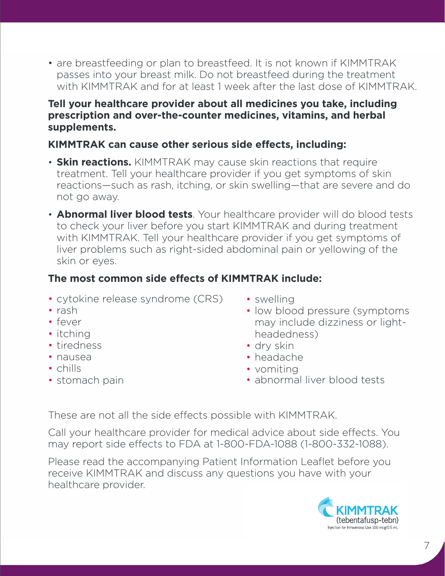• are breastfeeding or plan to breastfeed. It is not known if KIMMTRAK passes into your breast milk. Do not breastfeed during the treatment with KIMMTRAK and for at least 1 week after the last dose of KIMMTRAK.

#### **Tell your healthcare provider about all medicines you take, including prescription and over-the-counter medicines, vitamins, and herbal supplements.**

### **KIMMTRAK can cause other serious side effects, including:**

- **Skin reactions.** KIMMTRAK may cause skin reactions that require treatment. Tell your healthcare provider if you get symptoms of skin reactions—such as rash, itching, or skin swelling—that are severe and do not go away.
- **Abnormal liver blood tests**. Your healthcare provider will do blood tests to check your liver before you start KIMMTRAK and during treatment with KIMMTRAK. Tell your healthcare provider if you get symptoms of liver problems such as right-sided abdominal pain or yellowing of the skin or eyes.

### **The most common side effects of KIMMTRAK include:**

- cytokine release syndrome (CRS)
- rash
- fever
- itching
- tiredness
- nausea
- chills
- stomach pain
- swelling
- low blood pressure (symptoms) may include dizziness or lightheadedness)
- dry skin
- headache
- vomiting
- abnormal liver blood tests

These are not all the side effects possible with KIMMTRAK.

Call your healthcare provider for medical advice about side effects. You may report side effects to FDA at 1-800-FDA-1088 (1-800-332-1088).

Please read the accompanying Patient Information Leaflet before you receive KIMMTRAK and discuss any questions you have with your healthcare provider.